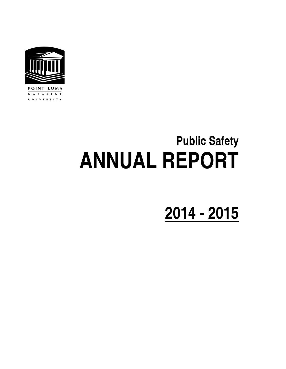

POINT LOMA N A Z A R E N E UNIVERSITY

# **Public Safety ANNUAL REPORT**

## **2014 - 2015**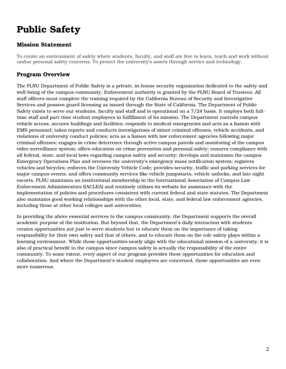### Public Safety

#### Mission Statement

To create an environment of safety where students, faculty, and staff are free to learn, teach and work without undue personal safety concerns. To protect the university's assets through service and technology.

#### Program Overview

The PLNU Department of Public Safety is a private, in-house security organization dedicated to the safety and well-being of the campus community. Enforcement authority is granted by the PLNU Board of Trustees. All staff officers must complete the training required by the California Bureau of Security and Investigative Services and possess guard licensing as issued through the State of California. The Department of Public Safety exists to serve our students, faculty and staff and is operational on a 7/24 basis. It employs both fulltime staff and part-time student employees in fulfillment of its mission. The Department controls campus vehicle access, secures buildings and facilities; responds to medical emergencies and acts as a liaison with EMS personnel; takes reports and conducts investigations of minor criminal offenses, vehicle accidents, and violations of university conduct policies; acts as a liaison with law enforcement agencies following major criminal offenses; engages in crime deterrence through active campus patrols and monitoring of the campus video surveillance system; offers education on crime prevention and personal safety; ensures compliance with all federal, state, and local laws regarding campus safety and security; develops and maintains the campus Emergency Operations Plan and oversees the university's emergency mass notification system; registers vehicles and bicycles; enforces the University Vehicle Code; provides security, traffic and parking services for major campus events; and offers community services like vehicle jumpstarts, vehicle unlocks, and late night escorts. PLNU maintains an institutional membership in the International Association of Campus Law Enforcement Administrators (IACLEA) and routinely utilizes its website for assistance with the implementation of policies and procedures consistent with current federal and state statutes. The Department also maintains good working relationships with the other local, state, and federal law enforcement agencies, including those at other local colleges and universities.

In providing the above essential services to the campus community, the Department supports the overall academic purpose of the institution. But beyond that, the Department's daily interaction with students creates opportunities not just to serve students but to educate them on the importance of taking responsibility for their own safety and that of others, and to educate them on the role safety plays within a learning environment. While those opportunities neatly align with the educational mission of a university, it is also of practical benefit to the campus since campus safety is actually the responsibility of the entire community. To some extent, every aspect of our program provides these opportunities for education and collaboration. And where the Department's student employees are concerned, those opportunities are even more numerous.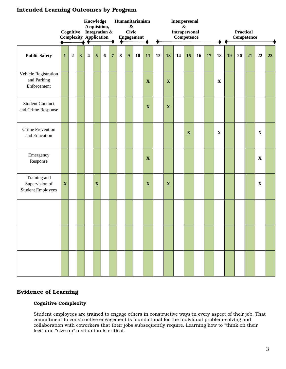#### Intended Learning Outcomes by Program

|                                                            |              | Cognitive   |              | Knowledge<br>Acquisition,<br>Integration &<br><b>Complexity Application</b> |             |   |                | Humanitarianism<br>$\pmb{\&}$<br><b>Civic</b><br><b>Engagement</b> |   |    |                           | Interpersonal<br>&<br>Intrapersonal<br>Competence |             |    |             |    |    | <b>Practical</b><br>Competence |    |    |    |             |    |
|------------------------------------------------------------|--------------|-------------|--------------|-----------------------------------------------------------------------------|-------------|---|----------------|--------------------------------------------------------------------|---|----|---------------------------|---------------------------------------------------|-------------|----|-------------|----|----|--------------------------------|----|----|----|-------------|----|
| <b>Public Safety</b>                                       | $\mathbf{1}$ | $\mathbf 2$ | $\mathbf{3}$ | 4                                                                           | 5           | 6 | $\overline{7}$ | $\bf{8}$                                                           | 9 | 10 | 11                        | 12                                                | 13          | 14 | 15          | 16 | 17 | 18                             | 19 | 20 | 21 | 22          | 23 |
| Vehicle Registration<br>and Parking<br>Enforcement         |              |             |              |                                                                             |             |   |                |                                                                    |   |    | $\mathbf X$               |                                                   | $\mathbf X$ |    |             |    |    | $\mathbf X$                    |    |    |    |             |    |
| <b>Student Conduct</b><br>and Crime Response               |              |             |              |                                                                             |             |   |                |                                                                    |   |    | $\boldsymbol{\mathrm{X}}$ |                                                   | $\mathbf X$ |    |             |    |    |                                |    |    |    |             |    |
| <b>Crime Prevention</b><br>and Education                   |              |             |              |                                                                             |             |   |                |                                                                    |   |    |                           |                                                   |             |    | $\mathbf X$ |    |    | $\mathbf X$                    |    |    |    | $\mathbf X$ |    |
| Emergency<br>Response                                      |              |             |              |                                                                             |             |   |                |                                                                    |   |    | $\mathbf X$               |                                                   |             |    |             |    |    |                                |    |    |    | $\mathbf X$ |    |
| Training and<br>Supervision of<br><b>Student Employees</b> | $\mathbf X$  |             |              |                                                                             | $\mathbf X$ |   |                |                                                                    |   |    | $\mathbf X$               |                                                   | $\mathbf X$ |    |             |    |    |                                |    |    |    | $\mathbf X$ |    |
|                                                            |              |             |              |                                                                             |             |   |                |                                                                    |   |    |                           |                                                   |             |    |             |    |    |                                |    |    |    |             |    |
|                                                            |              |             |              |                                                                             |             |   |                |                                                                    |   |    |                           |                                                   |             |    |             |    |    |                                |    |    |    |             |    |
|                                                            |              |             |              |                                                                             |             |   |                |                                                                    |   |    |                           |                                                   |             |    |             |    |    |                                |    |    |    |             |    |

#### Evidence of Learning

#### Cognitive Complexity

Student employees are trained to engage others in constructive ways in every aspect of their job. That commitment to constructive engagement is foundational for the individual problem-solving and collaboration with coworkers that their jobs subsequently require. Learning how to "think on their feet" and "size up" a situation is critical.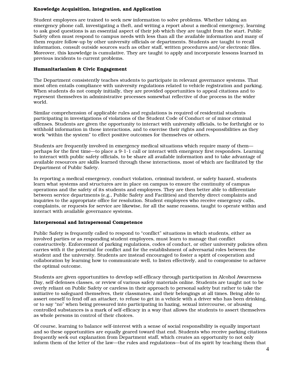#### Knowledge Acquisition, Integration, and Application

Student employees are trained to seek new information to solve problems. Whether taking an emergency phone call, investigating a theft, and writing a report about a medical emergency, learning to ask good questions is an essential aspect of their job which they are taught from the start. Public Safety often must respond to campus needs with less than all the available information and many of them require follow-up by other university officials or departments. Students are taught to recall information, consult outside sources such as other staff, written procedures and/or electronic files. Moreover, this knowledge is cumulative. They are taught to apply and incorporate lessons learned in previous incidents to current problems.

#### Humanitarianism & Civic Engagement

The Department consistently teaches students to participate in relevant governance systems. That most often entails compliance with university regulations related to vehicle registration and parking. When students do not comply initially, they are provided opportunities to appeal citations and to represent themselves in administrative processes somewhat reflective of due process in the wider world.

Similar comprehension of applicable rules and regulations is required of residential students participating in investigations of violations of the Student Code of Conduct or of minor criminal offenses. Students are given the opportunity to interact with university officials, to be forthright or to withhold information in those interactions, and to exercise their rights and responsibilities as they work "within the system" to effect positive outcomes for themselves or others.

Students are frequently involved in emergency medical situations which require many of them perhaps for the first time—to place a 9-1-1 call or interact with emergency first responders. Learning to interact with public safety officials, to be share all available information and to take advantage of available resources are skills learned through these interactions, most of which are facilitated by the Department of Public Safety.

In reporting a medical emergency, conduct violation, criminal incident, or safety hazard, students learn what systems and structures are in place on campus to ensure the continuity of campus operations and the safety of its students and employees. They are then better able to differentiate between service departments (e.g., Public Safety and Facilities) and thereby direct complaints and inquiries to the appropriate office for resolution. Student employees who receive emergency calls, complaints, or requests for service are likewise, for all the same reasons, taught to operate within and interact with available governance systems.

#### Interpersonal and Intrapersonal Competence

Public Safety is frequently called to respond to "conflict" situations in which students, either as involved parties or as responding student employees, must learn to manage that conflict constructively. Enforcement of parking regulations, codes of conduct, or other university policies often carries with it the potential for conflict and for the establishment of adversarial roles between the student and the university. Students are instead encouraged to foster a spirit of cooperation and collaboration by learning how to communicate well, to listen effectively, and to compromise to achieve the optimal outcome.

Students are given opportunities to develop self-efficacy through participation in Alcohol Awareness Day, self-defenses classes, or review of various safety materials online. Students are taught not to be overly reliant on Public Safety or careless in their approach to personal safety but rather to take the initiative to safeguard themselves, their classmates, and their belongings at all times. Being able to assert oneself to fend off an attacker, to refuse to get in a vehicle with a driver who has been drinking, or to say "no" when being pressured into participating in hazing, sexual intercourse, or abusing controlled substances is a mark of self-efficacy in a way that allows the students to assert themselves as whole persons in control of their choices.

Of course, learning to balance self-interest with a sense of social responsibility is equally important and so these opportunities are equally geared toward that end. Students who receive parking citations frequently seek out explanation from Department staff, which creates an opportunity to not only inform them of the letter of the law—the rules and regulations—but of its spirit by teaching them that